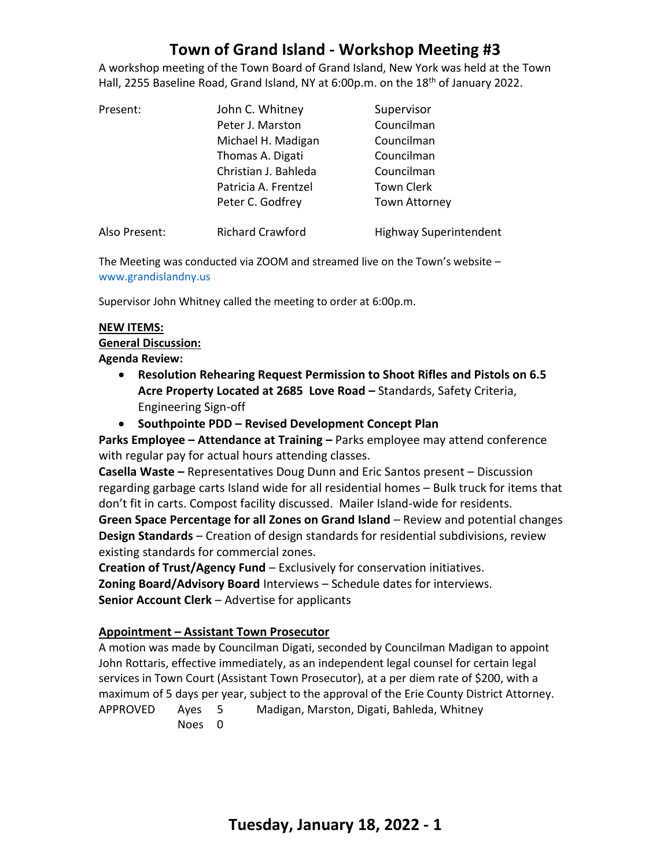# **Town of Grand Island - Workshop Meeting #3**

A workshop meeting of the Town Board of Grand Island, New York was held at the Town Hall, 2255 Baseline Road, Grand Island, NY at 6:00p.m. on the  $18<sup>th</sup>$  of January 2022.

| Present:      | John C. Whitney         | Supervisor                    |
|---------------|-------------------------|-------------------------------|
|               | Peter J. Marston        | Councilman                    |
|               | Michael H. Madigan      | Councilman                    |
|               | Thomas A. Digati        | Councilman                    |
|               | Christian J. Bahleda    | Councilman                    |
|               | Patricia A. Frentzel    | <b>Town Clerk</b>             |
|               | Peter C. Godfrey        | <b>Town Attorney</b>          |
| Also Present: | <b>Richard Crawford</b> | <b>Highway Superintendent</b> |

The Meeting was conducted via ZOOM and streamed live on the Town's website – [www.grandislandny.us](http://www.grandislandny.us/)

Supervisor John Whitney called the meeting to order at 6:00p.m.

#### **NEW ITEMS:**

# **General Discussion:**

- **Agenda Review:**
	- **Resolution Rehearing Request Permission to Shoot Rifles and Pistols on 6.5 Acre Property Located at 2685 Love Road –** Standards, Safety Criteria, Engineering Sign-off
	- **Southpointe PDD – Revised Development Concept Plan**

**Parks Employee – Attendance at Training –** Parks employee may attend conference with regular pay for actual hours attending classes.

**Casella Waste –** Representatives Doug Dunn and Eric Santos present – Discussion regarding garbage carts Island wide for all residential homes – Bulk truck for items that don't fit in carts. Compost facility discussed. Mailer Island-wide for residents.

**Green Space Percentage for all Zones on Grand Island** – Review and potential changes **Design Standards** – Creation of design standards for residential subdivisions, review existing standards for commercial zones.

**Creation of Trust/Agency Fund** – Exclusively for conservation initiatives. **Zoning Board/Advisory Board** Interviews – Schedule dates for interviews.

**Senior Account Clerk** – Advertise for applicants

## **Appointment – Assistant Town Prosecutor**

A motion was made by Councilman Digati, seconded by Councilman Madigan to appoint John Rottaris, effective immediately, as an independent legal counsel for certain legal services in Town Court (Assistant Town Prosecutor), at a per diem rate of \$200, with a maximum of 5 days per year, subject to the approval of the Erie County District Attorney. APPROVED Ayes 5 Madigan, Marston, Digati, Bahleda, Whitney Noes 0